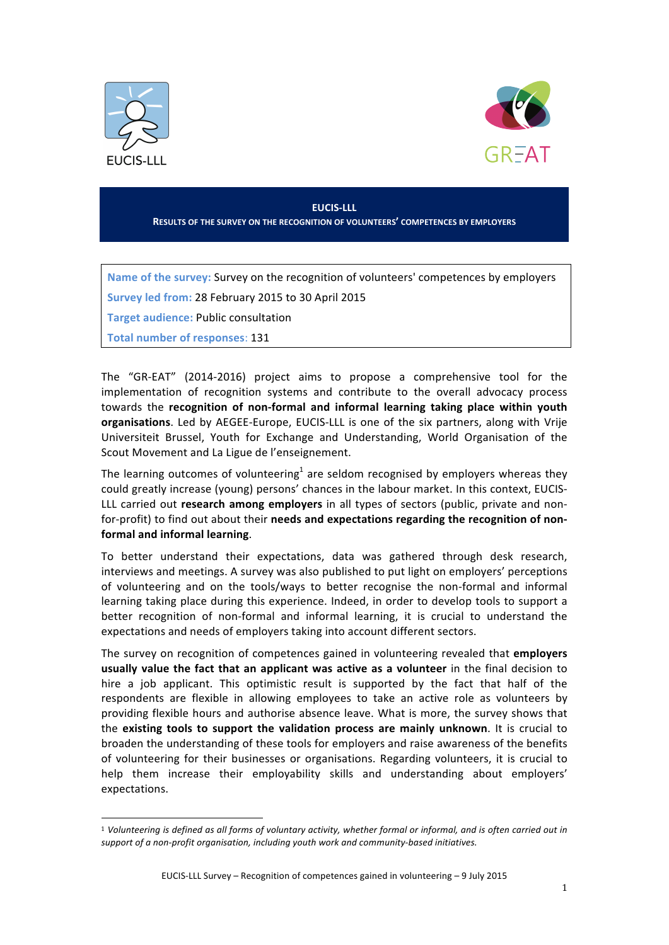



## **EUCIS-LLL RESULTS OF THE SURVEY ON THE RECOGNITION OF VOLUNTEERS' COMPETENCES BY EMPLOYERS**

Name of the survey: Survey on the recognition of volunteers' competences by employers

Survey led from: 28 February 2015 to 30 April 2015

**Target audience: Public consultation** 

**Total number of responses: 131** 

!!!!!!!!!!!!!!!!!!!!!!!!!!!!!!!!!!!!!!!!!!!!!!!!!!!!!!!

The "GR-EAT" (2014-2016) project aims to propose a comprehensive tool for the implementation of recognition systems and contribute to the overall advocacy process towards the recognition of non-formal and informal learning taking place within youth **organisations**. Led by AEGEE-Europe, EUCIS-LLL is one of the six partners, along with Vrije Universiteit Brussel, Youth for Exchange and Understanding, World Organisation of the Scout Movement and La Ligue de l'enseignement.

The learning outcomes of volunteering<sup>1</sup> are seldom recognised by employers whereas they could greatly increase (young) persons' chances in the labour market. In this context, EUCIS-LLL carried out **research among employers** in all types of sectors (public, private and nonfor-profit) to find out about their needs and expectations regarding the recognition of nonformal and informal learning.

To better understand their expectations, data was gathered through desk research, interviews and meetings. A survey was also published to put light on employers' perceptions of volunteering and on the tools/ways to better recognise the non-formal and informal learning taking place during this experience. Indeed, in order to develop tools to support a better recognition of non-formal and informal learning, it is crucial to understand the expectations and needs of employers taking into account different sectors.

The survey on recognition of competences gained in volunteering revealed that **employers** usually value the fact that an applicant was active as a volunteer in the final decision to hire a job applicant. This optimistic result is supported by the fact that half of the respondents are flexible in allowing employees to take an active role as volunteers by providing flexible hours and authorise absence leave. What is more, the survey shows that the existing tools to support the validation process are mainly unknown. It is crucial to broaden the understanding of these tools for employers and raise awareness of the benefits of volunteering for their businesses or organisations. Regarding volunteers, it is crucial to help them increase their employability skills and understanding about employers' expectations.

<sup>&</sup>lt;sup>1</sup> Volunteering is defined as all forms of voluntary activity, whether formal or informal, and is often carried out in support of a non-profit organisation, including youth work and community-based initiatives.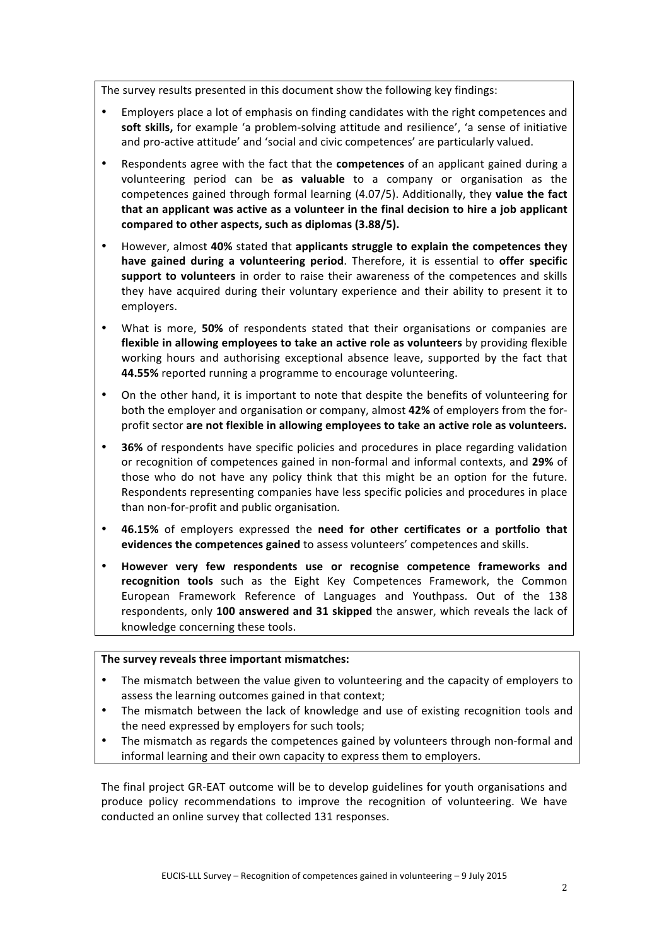The survey results presented in this document show the following key findings:

- Employers place a lot of emphasis on finding candidates with the right competences and soft skills, for example 'a problem-solving attitude and resilience', 'a sense of initiative and pro-active attitude' and 'social and civic competences' are particularly valued.
- Respondents agree with the fact that the **competences** of an applicant gained during a volunteering period can be as valuable to a company or organisation as the competences gained through formal learning (4.07/5). Additionally, they value the fact that an applicant was active as a volunteer in the final decision to hire a job applicant compared to other aspects, such as diplomas (3.88/5).
- However, almost 40% stated that applicants struggle to explain the competences they have gained during a volunteering period. Therefore, it is essential to offer specific support to volunteers in order to raise their awareness of the competences and skills they have acquired during their voluntary experience and their ability to present it to employers.
- What is more, **50%** of respondents stated that their organisations or companies are **flexible in allowing employees to take an active role as volunteers** by providing flexible working hours and authorising exceptional absence leave, supported by the fact that 44.55% reported running a programme to encourage volunteering.
- On the other hand, it is important to note that despite the benefits of volunteering for both the employer and organisation or company, almost 42% of employers from the forprofit sector are not flexible in allowing employees to take an active role as volunteers.
- **36%** of respondents have specific policies and procedures in place regarding validation or recognition of competences gained in non-formal and informal contexts, and 29% of those who do not have any policy think that this might be an option for the future. Respondents representing companies have less specific policies and procedures in place than non-for-profit and public organisation.
- **46.15%** of employers expressed the need for other certificates or a portfolio that evidences the competences gained to assess volunteers' competences and skills.
- However very few respondents use or recognise competence frameworks and recognition tools such as the Eight Key Competences Framework, the Common European Framework Reference of Languages and Youthpass. Out of the 138 respondents, only 100 answered and 31 skipped the answer, which reveals the lack of knowledge concerning these tools.

### The survey reveals three important mismatches:

- The mismatch between the value given to volunteering and the capacity of employers to assess the learning outcomes gained in that context;
- The mismatch between the lack of knowledge and use of existing recognition tools and the need expressed by employers for such tools;
- The mismatch as regards the competences gained by volunteers through non-formal and informal learning and their own capacity to express them to employers.

The final project GR-EAT outcome will be to develop guidelines for youth organisations and produce policy recommendations to improve the recognition of volunteering. We have conducted an online survey that collected 131 responses.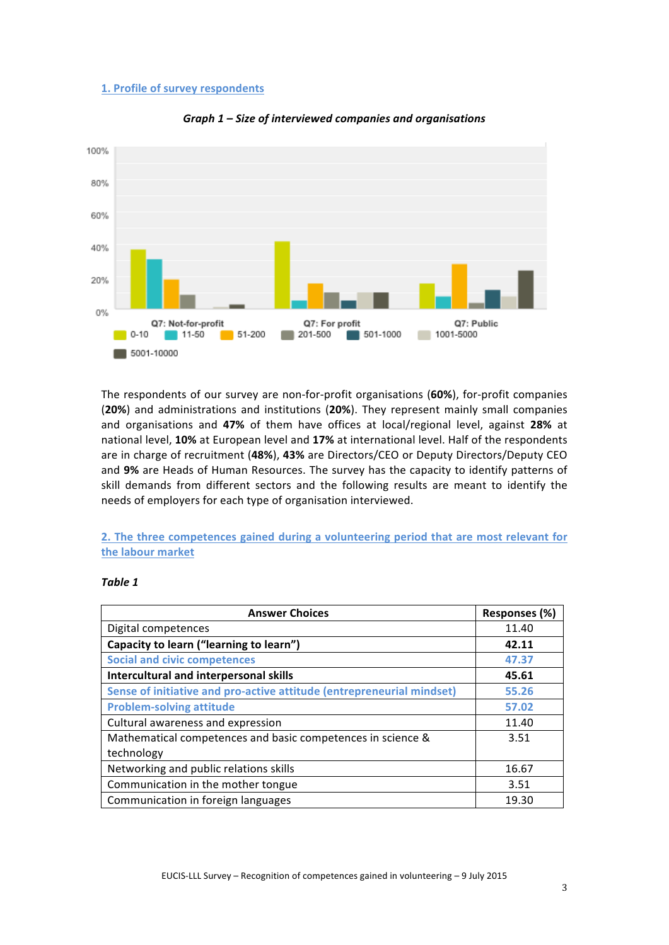#### **1. Profile of survey respondents**



*Graph 1 – Size of interviewed companies and organisations* 

The respondents of our survey are non-for-profit organisations (60%), for-profit companies (20%) and administrations and institutions (20%). They represent mainly small companies and organisations and 47% of them have offices at local/regional level, against 28% at hational level, 10% at European level and 17% at international level. Half of the respondents are in charge of recruitment (48%), 43% are Directors/CEO or Deputy Directors/Deputy CEO and 9% are Heads of Human Resources. The survey has the capacity to identify patterns of skill demands from different sectors and the following results are meant to identify the needs of employers for each type of organisation interviewed.

**2. The three competences gained during a volunteering period that are most relevant for** the labour market

## *Table&1*

| <b>Answer Choices</b>                                                 | Responses (%) |
|-----------------------------------------------------------------------|---------------|
| Digital competences                                                   | 11.40         |
| Capacity to learn ("learning to learn")                               | 42.11         |
| <b>Social and civic competences</b>                                   | 47.37         |
| Intercultural and interpersonal skills                                | 45.61         |
| Sense of initiative and pro-active attitude (entrepreneurial mindset) | 55.26         |
| <b>Problem-solving attitude</b>                                       | 57.02         |
| Cultural awareness and expression                                     | 11.40         |
| Mathematical competences and basic competences in science &           | 3.51          |
| technology                                                            |               |
| Networking and public relations skills                                | 16.67         |
| Communication in the mother tongue                                    | 3.51          |
| Communication in foreign languages                                    | 19.30         |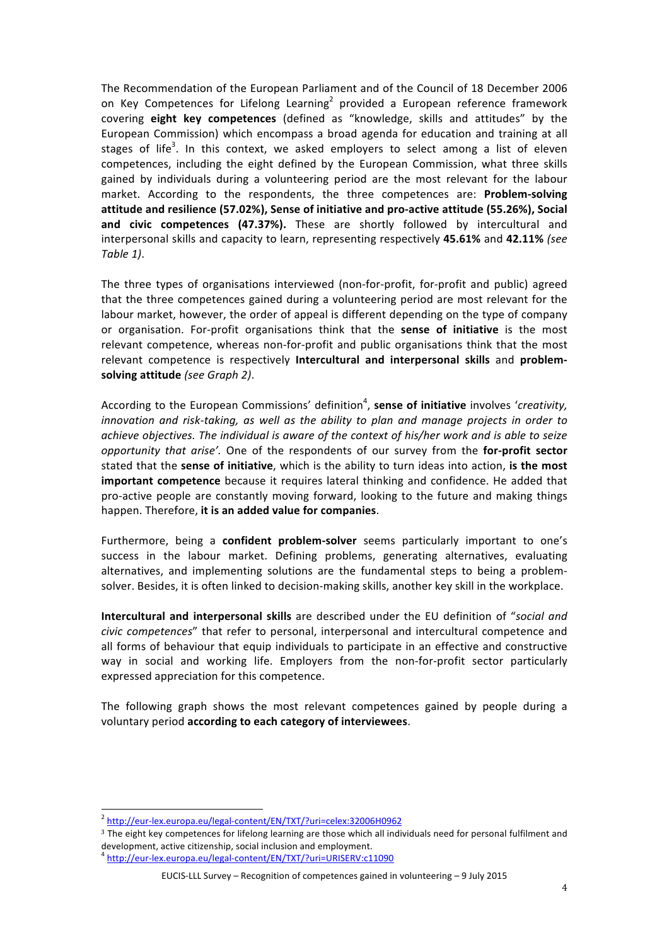The Recommendation of the European Parliament and of the Council of 18 December 2006 on Key Competences for Lifelong Learning<sup>2</sup> provided a European reference framework covering eight key competences (defined as "knowledge, skills and attitudes" by the European Commission) which encompass a broad agenda for education and training at all stages of life<sup>3</sup>. In this context, we asked employers to select among a list of eleven competences, including the eight defined by the European Commission, what three skills gained by individuals during a volunteering period are the most relevant for the labour market. According to the respondents, the three competences are: **Problem-solving** attitude and resilience (57.02%), Sense of initiative and pro-active attitude (55.26%), Social and civic competences (47.37%). These are shortly followed by intercultural and interpersonal skills and capacity to learn, representing respectively 45.61% and 42.11% (see *Table+1)*.

The three types of organisations interviewed (non-for-profit, for-profit and public) agreed that the three competences gained during a volunteering period are most relevant for the labour market, however, the order of appeal is different depending on the type of company or organisation. For-profit organisations think that the **sense of initiative** is the most relevant competence, whereas non-for-profit and public organisations think that the most relevant competence is respectively **Intercultural and interpersonal skills** and **problem**solving attitude *(see Graph 2)*.

According to the European Commissions' definition<sup>4</sup>, sense of initiative involves '*creativity, innovation and risk-taking, as well as the ability to plan and manage projects in order to* achieve objectives. The individual is aware of the context of his/her work and is able to seize *opportunity that arise'.* One of the respondents of our survey from the for-profit sector stated that the **sense of initiative**, which is the ability to turn ideas into action, is the most important competence because it requires lateral thinking and confidence. He added that pro-active people are constantly moving forward, looking to the future and making things happen. Therefore, it is an added value for companies.

Furthermore, being a **confident problem-solver** seems particularly important to one's success in the labour market. Defining problems, generating alternatives, evaluating alternatives, and implementing solutions are the fundamental steps to being a problemsolver. Besides, it is often linked to decision-making skills, another key skill in the workplace.

**Intercultural and interpersonal skills** are described under the EU definition of "social and *civic competences*" that refer to personal, interpersonal and intercultural competence and all forms of behaviour that equip individuals to participate in an effective and constructive way in social and working life. Employers from the non-for-profit sector particularly expressed appreciation for this competence.

The following graph shows the most relevant competences gained by people during a voluntary period **according to each category of interviewees**.

<sup>&</sup>lt;sup>2</sup> http://eur-lex.europa.eu/legal-content/EN/TXT/?uri=celex:32006H0962

<sup>3</sup> The eight key competences for lifelong learning are those which all individuals need for personal fulfilment and development, active citizenship, social inclusion and employment.

<sup>&</sup>lt;sup>4</sup> http://eur-lex.europa.eu/legal-content/EN/TXT/?uri=URISERV:c11090

EUCIS-LLL Survey – Recognition of competences gained in volunteering – 9 July 2015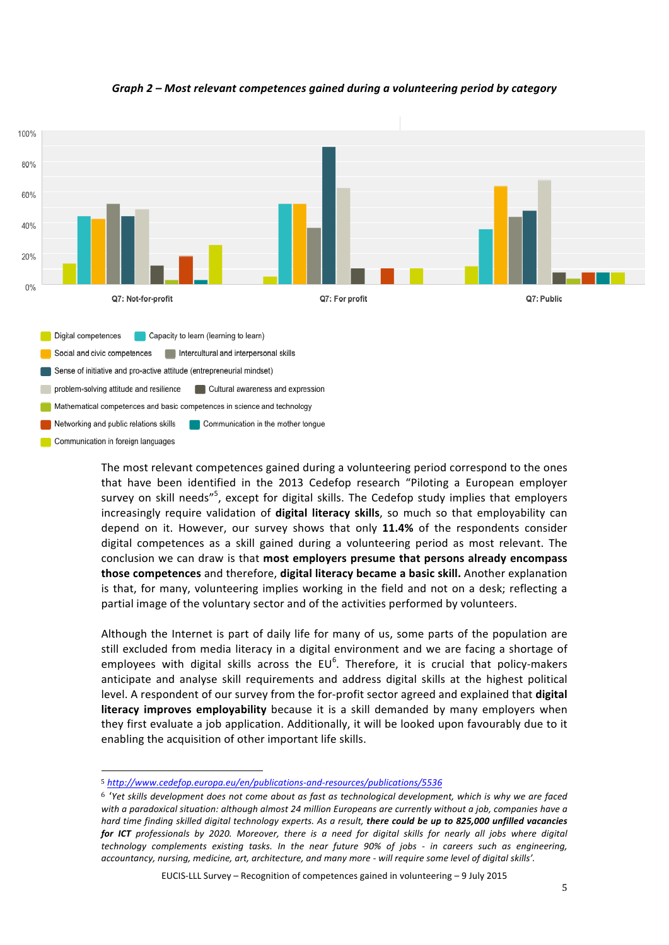

# *Graph 2 – Most relevant competences gained during a volunteering period by category*

The most relevant competences gained during a volunteering period correspond to the ones that have been identified in the 2013 Cedefop research "Piloting a European employer survey on skill needs"<sup>5</sup>, except for digital skills. The Cedefop study implies that employers increasingly require validation of **digital literacy skills**, so much so that employability can depend on it. However, our survey shows that only 11.4% of the respondents consider digital competences as a skill gained during a volunteering period as most relevant. The conclusion we can draw is that most employers presume that persons already encompass **those competences** and therefore, **digital literacy became a basic skill.** Another explanation is that, for many, volunteering implies working in the field and not on a desk; reflecting a partial image of the voluntary sector and of the activities performed by volunteers.

Although the Internet is part of daily life for many of us, some parts of the population are still excluded from media literacy in a digital environment and we are facing a shortage of employees with digital skills across the EU<sup>6</sup>. Therefore, it is crucial that policy-makers anticipate and analyse skill requirements and address digital skills at the highest political level. A respondent of our survey from the for-profit sector agreed and explained that **digital literacy improves employability** because it is a skill demanded by many employers when they first evaluate a job application. Additionally, it will be looked upon favourably due to it enabling the acquisition of other important life skills.

EUCIS-LLL Survey – Recognition of competences gained in volunteering – 9 July 2015

<sup>!!!!!!!!!!!!!!!!!!!!!!!!!!!!!!!!!!!!!!!!!!!!!!!!!!!!!!!</sup> 5 http://www.cedefop.europa.eu/en/publications-and-resources/publications/5536

<sup>&</sup>lt;sup>6</sup> 'Yet skills development does not come about as fast as technological development, which is why we are faced with a paradoxical situation: although almost 24 million Europeans are currently without a job, companies have a *hard time finding skilled digital technology experts. As a result, there could be up to 825,000 unfilled vacancies for ICT* professionals by 2020. Moreover, there is a need for digital skills for nearly all jobs where digital *technology* complements existing tasks. In the near future 90% of jobs - in careers such as engineering, *accountancy,+nursing,+medicine,+art,+architecture,+and+many+more+8+will+require+some+level+of+digital+skills'.*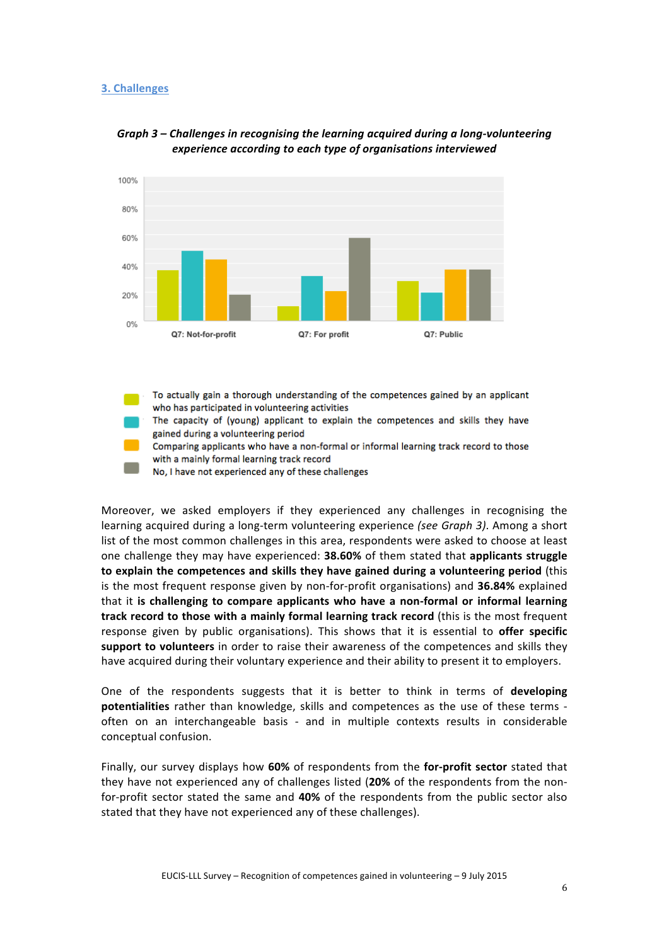#### **3. Challenges**





To actually gain a thorough understanding of the competences gained by an applicant who has participated in volunteering activities

The capacity of (young) applicant to explain the competences and skills they have gained during a volunteering period

Comparing applicants who have a non-formal or informal learning track record to those with a mainly formal learning track record

No, I have not experienced any of these challenges

Moreover, we asked employers if they experienced any challenges in recognising the learning acquired during a long-term volunteering experience *(see Graph 3)*. Among a short list of the most common challenges in this area, respondents were asked to choose at least one challenge they may have experienced: **38.60%** of them stated that **applicants struggle** to explain the competences and skills they have gained during a volunteering period (this is the most frequent response given by non-for-profit organisations) and **36.84%** explained that it is challenging to compare applicants who have a non-formal or informal learning **track record to those with a mainly formal learning track record** (this is the most frequent response given by public organisations). This shows that it is essential to offer specific support to volunteers in order to raise their awareness of the competences and skills they have acquired during their voluntary experience and their ability to present it to employers.

One of the respondents suggests that it is better to think in terms of **developing potentialities** rather than knowledge, skills and competences as the use of these terms often on an interchangeable basis - and in multiple contexts results in considerable conceptual confusion.

Finally, our survey displays how 60% of respondents from the for-profit sector stated that they have not experienced any of challenges listed (20% of the respondents from the nonfor-profit sector stated the same and 40% of the respondents from the public sector also stated that they have not experienced any of these challenges).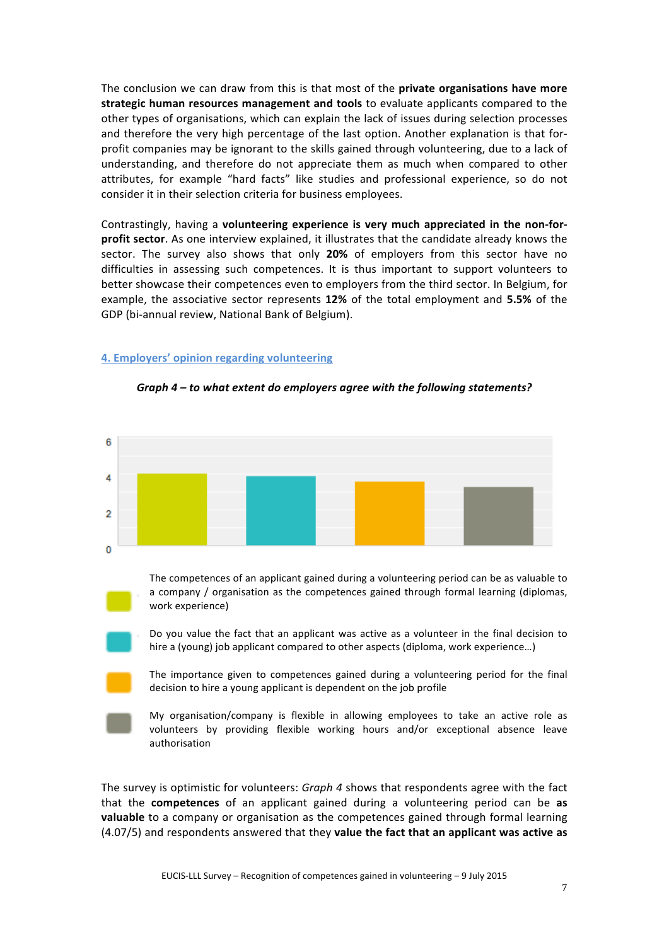The conclusion we can draw from this is that most of the **private organisations have more** strategic human resources management and tools to evaluate applicants compared to the other types of organisations, which can explain the lack of issues during selection processes and therefore the very high percentage of the last option. Another explanation is that forprofit companies may be ignorant to the skills gained through volunteering, due to a lack of understanding, and therefore do not appreciate them as much when compared to other attributes, for example "hard facts" like studies and professional experience, so do not consider it in their selection criteria for business employees.

Contrastingly, having a **volunteering experience is very much appreciated in the non-forprofit sector**. As one interview explained, it illustrates that the candidate already knows the sector. The survey also shows that only 20% of employers from this sector have no difficulties in assessing such competences. It is thus important to support volunteers to better showcase their competences even to employers from the third sector. In Belgium, for example, the associative sector represents 12% of the total employment and 5.5% of the GDP (bi-annual review, National Bank of Belgium).

#### **4. Employers' opinion regarding volunteering**



#### Graph 4 - to what extent do employers agree with the following statements?

Do you value the fact that an applicant was active as a volunteer in the final decision to hire a (young) job applicant compared to other aspects (diploma, work experience...)

The importance given to competences gained during a volunteering period for the final decision to hire a young applicant is dependent on the job profile

My organisation/company is flexible in allowing employees to take an active role as volunteers by providing flexible working hours and/or exceptional absence leave authorisation

The survey is optimistic for volunteers: *Graph 4* shows that respondents agree with the fact that the **competences** of an applicant gained during a volunteering period can be as **valuable** to a company or organisation as the competences gained through formal learning (4.07/5) and respondents answered that they **value the fact that an applicant was active as**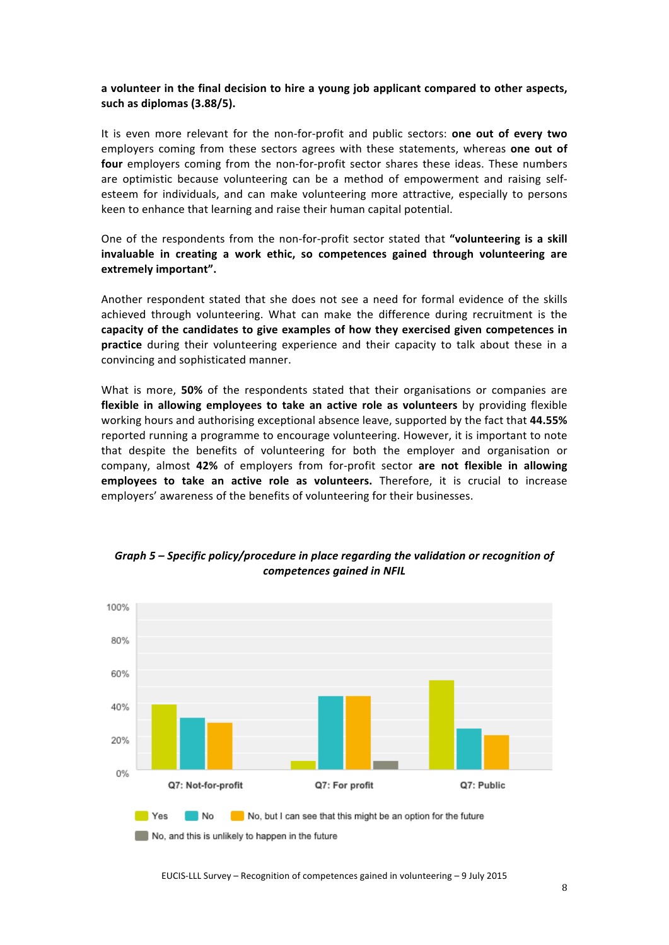### a volunteer in the final decision to hire a young job applicant compared to other aspects, such as diplomas (3.88/5).

It is even more relevant for the non-for-profit and public sectors: **one out of every two** employers coming from these sectors agrees with these statements, whereas one out of four employers coming from the non-for-profit sector shares these ideas. These numbers are optimistic because volunteering can be a method of empowerment and raising selfesteem for individuals, and can make volunteering more attractive, especially to persons keen to enhance that learning and raise their human capital potential.

One of the respondents from the non-for-profit sector stated that "volunteering is a skill invaluable in creating a work ethic, so competences gained through volunteering are extremely important".

Another respondent stated that she does not see a need for formal evidence of the skills achieved through volunteering. What can make the difference during recruitment is the capacity of the candidates to give examples of how they exercised given competences in **practice** during their volunteering experience and their capacity to talk about these in a convincing and sophisticated manner.

What is more, **50%** of the respondents stated that their organisations or companies are flexible in allowing employees to take an active role as volunteers by providing flexible working hours and authorising exceptional absence leave, supported by the fact that 44.55% reported running a programme to encourage volunteering. However, it is important to note that despite the benefits of volunteering for both the employer and organisation or company, almost 42% of employers from for-profit sector are not flexible in allowing employees to take an active role as volunteers. Therefore, it is crucial to increase employers' awareness of the benefits of volunteering for their businesses.



*Graph 5* – Specific policy/procedure in place regarding the validation or recognition of  $competences$  gained in NFIL

EUCIS-LLL Survey – Recognition of competences gained in volunteering – 9 July 2015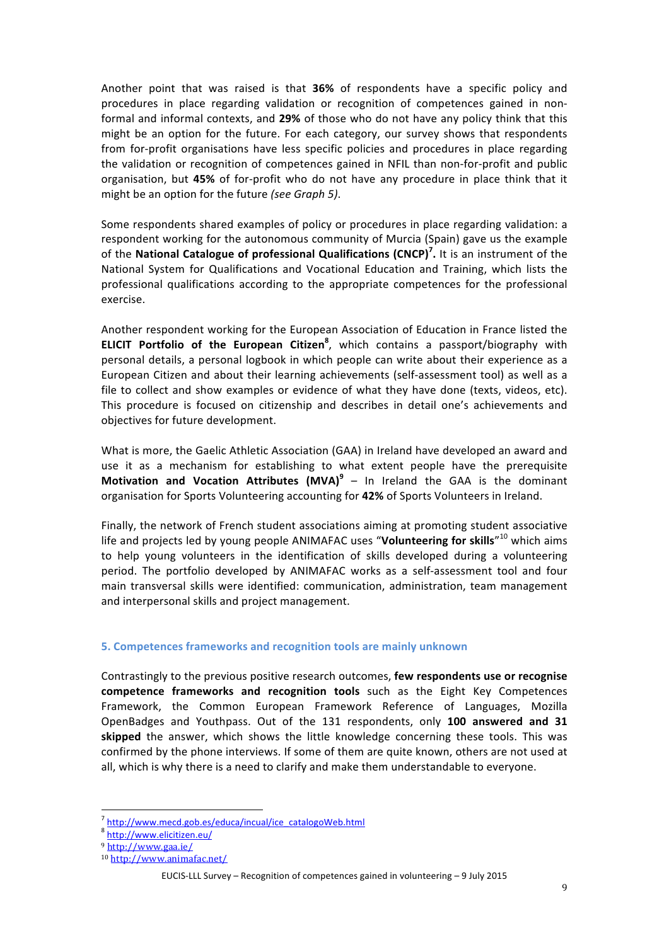Another point that was raised is that **36%** of respondents have a specific policy and procedures in place regarding validation or recognition of competences gained in nonformal and informal contexts, and 29% of those who do not have any policy think that this might be an option for the future. For each category, our survey shows that respondents from for-profit organisations have less specific policies and procedures in place regarding the validation or recognition of competences gained in NFIL than non-for-profit and public organisation, but 45% of for-profit who do not have any procedure in place think that it might be an option for the future (see Graph 5).

Some respondents shared examples of policy or procedures in place regarding validation: a respondent working for the autonomous community of Murcia (Spain) gave us the example of the National Catalogue of professional Qualifications (CNCP)<sup>7</sup>. It is an instrument of the National System for Qualifications and Vocational Education and Training, which lists the professional qualifications according to the appropriate competences for the professional exercise.

Another respondent working for the European Association of Education in France listed the **ELICIT Portfolio of the European Citizen<sup>8</sup>, which contains a passport/biography with** personal details, a personal logbook in which people can write about their experience as a European Citizen and about their learning achievements (self-assessment tool) as well as a file to collect and show examples or evidence of what they have done (texts, videos, etc). This procedure is focused on citizenship and describes in detail one's achievements and objectives for future development.

What is more, the Gaelic Athletic Association (GAA) in Ireland have developed an award and use it as a mechanism for establishing to what extent people have the prerequisite **Motivation and Vocation Attributes (MVA)<sup>9</sup> – In Ireland the GAA is the dominant** organisation for Sports Volunteering accounting for 42% of Sports Volunteers in Ireland.

Finally, the network of French student associations aiming at promoting student associative life and projects led by young people ANIMAFAC uses "**Volunteering for skills**"<sup>10</sup> which aims to help young volunteers in the identification of skills developed during a volunteering period. The portfolio developed by ANIMAFAC works as a self-assessment tool and four main transversal skills were identified: communication, administration, team management and interpersonal skills and project management.

#### **5. Competences frameworks and recognition tools are mainly unknown**

Contrastingly to the previous positive research outcomes, **few respondents use or recognise competence frameworks and recognition tools** such as the Eight Key Competences Framework, the Common European Framework Reference of Languages, Mozilla OpenBadges and Youthpass. Out of the 131 respondents, only 100 answered and 31 skipped the answer, which shows the little knowledge concerning these tools. This was confirmed by the phone interviews. If some of them are quite known, others are not used at all, which is why there is a need to clarify and make them understandable to everyone.

 $<sup>7</sup>$  http://www.mecd.gob.es/educa/incual/ice\_catalogoWeb.html</sup>

<sup>8</sup> http://www.elicitizen.eu/

<sup>9</sup> http://www.gaa.ie/

<sup>10</sup> http://www.animafac.net/

EUCIS-LLL Survey – Recognition of competences gained in volunteering – 9 July 2015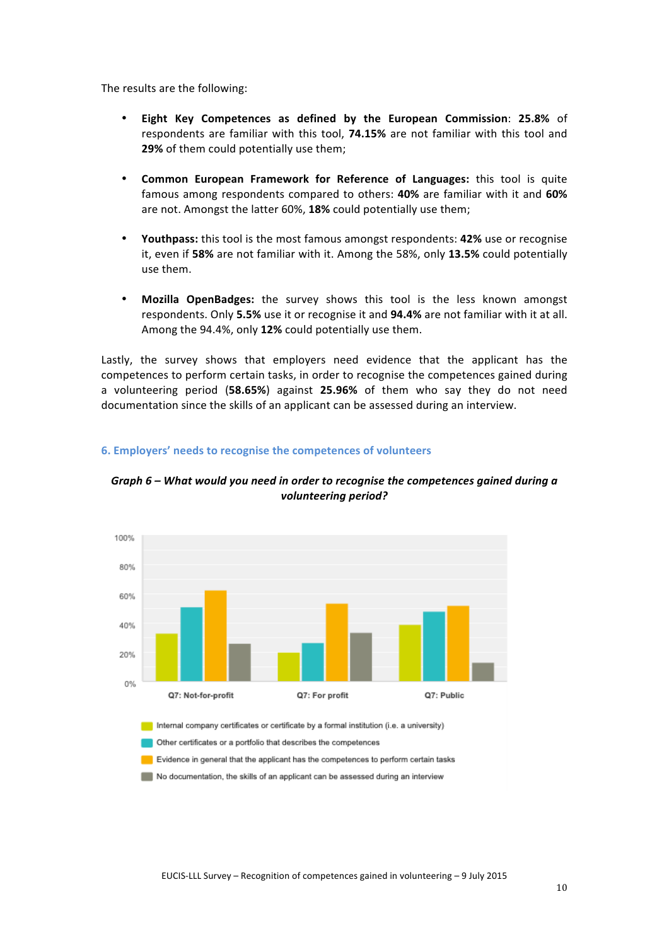The results are the following:

- **Eight Key Competences as defined by the European Commission: 25.8% of** respondents are familiar with this tool, 74.15% are not familiar with this tool and **29%** of them could potentially use them;
- **Common European Framework for Reference of Languages:** this tool is quite famous among respondents compared to others: **40%** are familiar with it and 60% are not. Amongst the latter 60%, 18% could potentially use them;
- Youthpass: this tool is the most famous amongst respondents: 42% use or recognise it, even if 58% are not familiar with it. Among the 58%, only 13.5% could potentially use them.
- Mozilla OpenBadges: the survey shows this tool is the less known amongst respondents. Only 5.5% use it or recognise it and 94.4% are not familiar with it at all. Among the 94.4%, only 12% could potentially use them.

Lastly, the survey shows that employers need evidence that the applicant has the competences to perform certain tasks, in order to recognise the competences gained during a volunteering period (**58.65%**) against **25.96%** of them who say they do not need documentation since the skills of an applicant can be assessed during an interview.



## **6. Employers' needs to recognise the competences of volunteers**

*Graph 6 – What would you need in order to recognise the competences gained during a* volunteering period?

Internal company certificates or certificate by a formal institution (i.e. a university)

Other certificates or a portfolio that describes the competences

Evidence in general that the applicant has the competences to perform certain tasks

No documentation, the skills of an applicant can be assessed during an interview